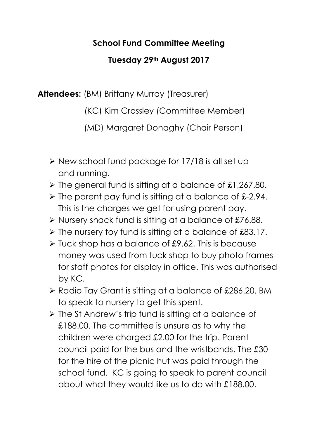## School Fund Committee Meeting

## Tuesday 29th August 2017

Attendees: (BM) Brittany Murray (Treasurer)

(KC) Kim Crossley (Committee Member)

(MD) Margaret Donaghy (Chair Person)

- $\triangleright$  New school fund package for 17/18 is all set up and running.
- $\triangleright$  The general fund is sitting at a balance of £1,267.80.
- $\triangleright$  The parent pay fund is sitting at a balance of £-2.94. This is the charges we get for using parent pay.
- $\triangleright$  Nursery snack fund is sitting at a balance of £76.88.
- $\triangleright$  The nursery toy fund is sitting at a balance of £83.17.
- $\triangleright$  Tuck shop has a balance of £9.62. This is because money was used from tuck shop to buy photo frames for staff photos for display in office. This was authorised by KC.
- ▶ Radio Tay Grant is sitting at a balance of £286.20. BM to speak to nursery to get this spent.
- $\triangleright$  The St Andrew's trip fund is sitting at a balance of £188.00. The committee is unsure as to why the children were charged £2.00 for the trip. Parent council paid for the bus and the wristbands. The £30 for the hire of the picnic hut was paid through the school fund. KC is going to speak to parent council about what they would like us to do with £188.00.